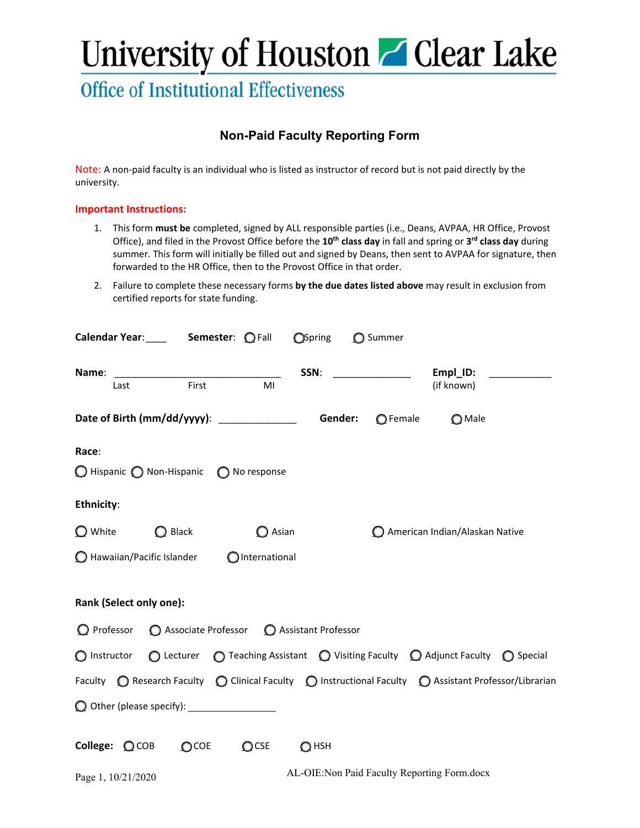## University of Houston Glear Lake

### **Office of Institutional Effectiveness**

### **Non-Paid Faculty Reporting Form**

Note: A non-paid faculty is an individual who is listed as instructor of record but is not paid directly by the university.

### **Important Instructions:**

- 1. This form **must be** completed, signed by ALL responsible parties (i.e., Deans, AVPAA, HR Office, Provost Office), and filed in the Provost Office before the **10th class day** in fall and spring or **3 rd class day** during summer. This form will initially be filled out and signed by Deans, then sent to AVPAA for signature, then forwarded to the HR Office, then to the Provost Office in that order.
- 2. Failure to complete these necessary forms **by the due dates listed above** may result in exclusion from certified reports for state funding.

|                                                                                                                                           | <b>Calendar Year:</b> ______ <b>Semester:</b> $\mathbb{Q}$ Fall<br>OSpring O Summer |                    |                                              |                   |                                |                                                                                                                       |
|-------------------------------------------------------------------------------------------------------------------------------------------|-------------------------------------------------------------------------------------|--------------------|----------------------------------------------|-------------------|--------------------------------|-----------------------------------------------------------------------------------------------------------------------|
| Last                                                                                                                                      |                                                                                     | <b>First</b><br>MI |                                              |                   | Empl_ID:<br>(if known)         | <u> a componente de la propincia de la propincia de la propincia de la propincia de la propincia de la propincia </u> |
|                                                                                                                                           |                                                                                     |                    |                                              | $\bigcirc$ Female | $\bigcirc$ Male                |                                                                                                                       |
| Race:                                                                                                                                     |                                                                                     |                    |                                              |                   |                                |                                                                                                                       |
|                                                                                                                                           | $\bigcirc$ Hispanic $\bigcirc$ Non-Hispanic $\bigcirc$ No response                  |                    |                                              |                   |                                |                                                                                                                       |
| Ethnicity:                                                                                                                                |                                                                                     |                    |                                              |                   |                                |                                                                                                                       |
| $\bigcirc$ White                                                                                                                          | $\bigcirc$ Black                                                                    | $\bigcirc$ Asian   |                                              |                   | American Indian/Alaskan Native |                                                                                                                       |
|                                                                                                                                           | $\bigcirc$ Hawaiian/Pacific Islander $\bigcirc$ International                       |                    |                                              |                   |                                |                                                                                                                       |
|                                                                                                                                           | Rank (Select only one):                                                             |                    |                                              |                   |                                |                                                                                                                       |
|                                                                                                                                           | $\bigcirc$ Professor $\bigcirc$ Associate Professor $\bigcirc$ Assistant Professor  |                    |                                              |                   |                                |                                                                                                                       |
| ○ Instructor △ Lecturer △ Teaching Assistant △ Visiting Faculty △ Adjunct Faculty △ Special                                               |                                                                                     |                    |                                              |                   |                                |                                                                                                                       |
| Faculty $\bigcirc$ Research Faculty $\bigcirc$ Clinical Faculty $\bigcirc$ Instructional Faculty $\bigcirc$ Assistant Professor/Librarian |                                                                                     |                    |                                              |                   |                                |                                                                                                                       |
|                                                                                                                                           |                                                                                     |                    |                                              |                   |                                |                                                                                                                       |
| College: OCOB                                                                                                                             | $\Omega$ COE                                                                        | $\bigcirc$ CSE     | $\Omega$ HSH                                 |                   |                                |                                                                                                                       |
| Page 1, 10/21/2020                                                                                                                        |                                                                                     |                    | AL-OIE: Non Paid Faculty Reporting Form.docx |                   |                                |                                                                                                                       |